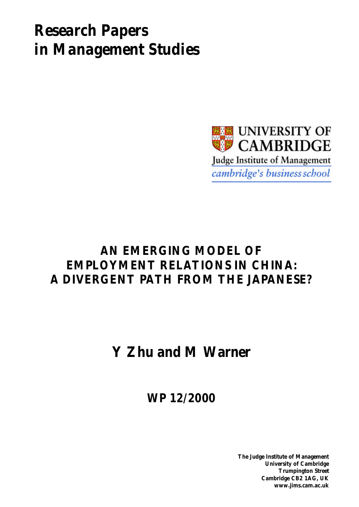# *Research Papers in Management Studies*



## **AN EMERGING MODEL OF EMPLOYMENT RELATIONS IN CHINA: A DIVERGENT PATH FROM THE JAPANESE?**

## **Y Zhu and M Warner**

**WP 12/2000**

**The Judge Institute of Management University of Cambridge Trumpington Street Cambridge CB2 1AG, UK www.jims.cam.ac.uk**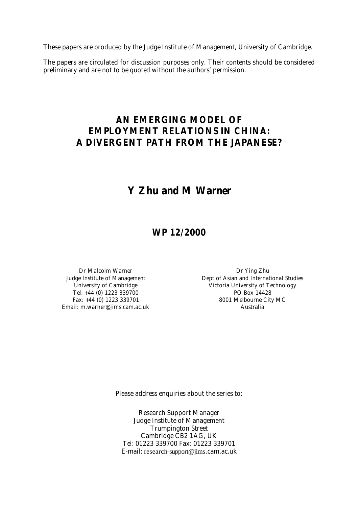These papers are produced by the Judge Institute of Management, University of Cambridge.

The papers are circulated for discussion purposes only. Their contents should be considered preliminary and are not to be quoted without the authors' permission.

### **AN EMERGING MODEL OF EMPLOYMENT RELATIONS IN CHINA: A DIVERGENT PATH FROM THE JAPANESE?**

## **Y Zhu and M Warner**

### **WP 12/2000**

Dr Malcolm Warner **Dr Ying Zhu** Tel: +44 (0) 1223 339700 PO Box 14428<br>Fax: +44 (0) 1223 339701 8001 Melbourne City Email: m.warner@jims.cam.ac.uk Australia

Judge Institute of Management Dept of Asian and International Studies University of Cambridge Victoria University of Technology 8001 Melbourne City MC

Please address enquiries about the series to:

Research Support Manager Judge Institute of Management Trumpington Street Cambridge CB2 1AG, UK Tel: 01223 339700 Fax: 01223 339701 E-mail: research-support@jims.cam.ac.uk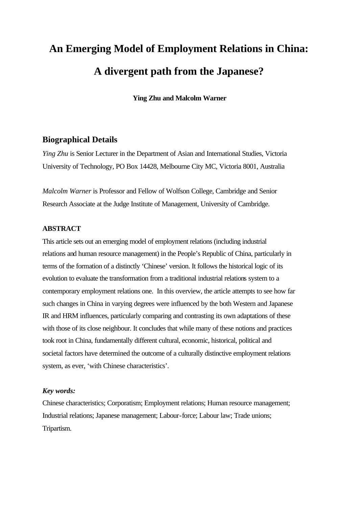## **An Emerging Model of Employment Relations in China: A divergent path from the Japanese?**

**Ying Zhu and Malcolm Warner**

#### **Biographical Details**

*Ying Zhu* is Senior Lecturer in the Department of Asian and International Studies, Victoria University of Technology, PO Box 14428, Melbourne City MC, Victoria 8001, Australia

*Malcolm Warner* is Professor and Fellow of Wolfson College, Cambridge and Senior Research Associate at the Judge Institute of Management, University of Cambridge.

#### **ABSTRACT**

This article sets out an emerging model of employment relations (including industrial relations and human resource management) in the People's Republic of China, particularly in terms of the formation of a distinctly 'Chinese' version. It follows the historical logic of its evolution to evaluate the transformation from a traditional industrial relations system to a contemporary employment relations one. In this overview, the article attempts to see how far such changes in China in varying degrees were influenced by the both Western and Japanese IR and HRM influences, particularly comparing and contrasting its own adaptations of these with those of its close neighbour. It concludes that while many of these notions and practices took root in China, fundamentally different cultural, economic, historical, political and societal factors have determined the outcome of a culturally distinctive employment relations system, as ever, 'with Chinese characteristics'.

#### *Key words:*

Chinese characteristics; Corporatism; Employment relations; Human resource management; Industrial relations; Japanese management; Labour-force; Labour law; Trade unions; Tripartism.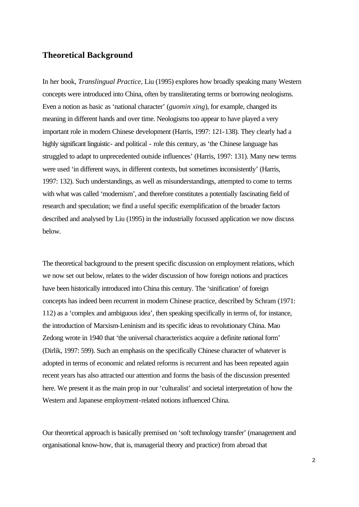#### **Theoretical Background**

In her book, *Translingual Practice,* Liu (1995) explores how broadly speaking many Western concepts were introduced into China, often by transliterating terms or borrowing neologisms. Even a notion as basic as 'national character' (*guomin xing*), for example, changed its meaning in different hands and over time. Neologisms too appear to have played a very important role in modern Chinese development (Harris, 1997: 121-138). They clearly had a highly significant linguistic- and political - role this century, as 'the Chinese language has struggled to adapt to unprecedented outside influences' (Harris, 1997: 131). Many new terms were used 'in different ways, in different contexts, but sometimes inconsistently' (Harris, 1997: 132). Such understandings, as well as misunderstandings, attempted to come to terms with what was called 'modernism', and therefore constitutes a potentially fascinating field of research and speculation; we find a useful specific exemplification of the broader factors described and analysed by Liu (1995) in the industrially focussed application we now discuss below.

The theoretical background to the present specific discussion on employment relations, which we now set out below, relates to the wider discussion of how foreign notions and practices have been historically introduced into China this century. The 'sinification' of foreign concepts has indeed been recurrent in modern Chinese practice, described by Schram (1971: 112) as a 'complex and ambiguous idea', then speaking specifically in terms of, for instance, the introduction of Marxism-Leninism and its specific ideas to revolutionary China. Mao Zedong wrote in 1940 that 'the universal characteristics acquire a definite national form' (Dirlik, 1997: 599). Such an emphasis on the specifically Chinese character of whatever is adopted in terms of economic and related reforms is recurrent and has been repeated again recent years has also attracted our attention and forms the basis of the discussion presented here. We present it as the main prop in our 'culturalist' and societal interpretation of how the Western and Japanese employment-related notions influenced China.

Our theoretical approach is basically premised on 'soft technology transfer' (management and organisational know-how, that is, managerial theory and practice) from abroad that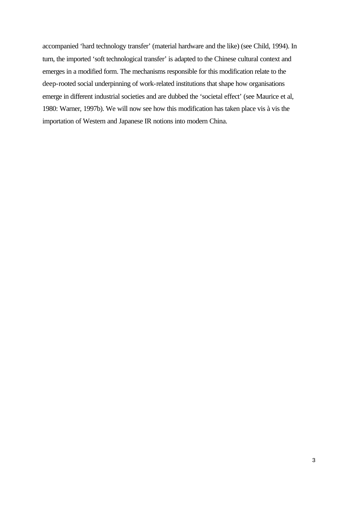accompanied 'hard technology transfer' (material hardware and the like) (see Child, 1994). In turn, the imported 'soft technological transfer' is adapted to the Chinese cultural context and emerges in a modified form. The mechanisms responsible for this modification relate to the deep-rooted social underpinning of work-related institutions that shape how organisations emerge in different industrial societies and are dubbed the 'societal effect' (see Maurice et al, 1980: Warner, 1997b). We will now see how this modification has taken place vis à vis the importation of Western and Japanese IR notions into modern China.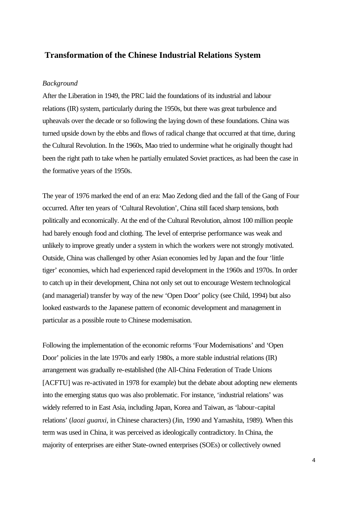#### **Transformation of the Chinese Industrial Relations System**

#### *Background*

After the Liberation in 1949, the PRC laid the foundations of its industrial and labour relations (IR) system, particularly during the 1950s, but there was great turbulence and upheavals over the decade or so following the laying down of these foundations. China was turned upside down by the ebbs and flows of radical change that occurred at that time, during the Cultural Revolution. In the 1960s, Mao tried to undermine what he originally thought had been the right path to take when he partially emulated Soviet practices, as had been the case in the formative years of the 1950s.

The year of 1976 marked the end of an era: Mao Zedong died and the fall of the Gang of Four occurred. After ten years of 'Cultural Revolution', China still faced sharp tensions, both politically and economically. At the end of the Cultural Revolution, almost 100 million people had barely enough food and clothing. The level of enterprise performance was weak and unlikely to improve greatly under a system in which the workers were not strongly motivated. Outside, China was challenged by other Asian economies led by Japan and the four 'little tiger' economies, which had experienced rapid development in the 1960s and 1970s. In order to catch up in their development, China not only set out to encourage Western technological (and managerial) transfer by way of the new 'Open Door' policy (see Child, 1994) but also looked eastwards to the Japanese pattern of economic development and management in particular as a possible route to Chinese modernisation.

Following the implementation of the economic reforms 'Four Modernisations' and 'Open Door' policies in the late 1970s and early 1980s, a more stable industrial relations (IR) arrangement was gradually re-established (the All-China Federation of Trade Unions [ACFTU] was re-activated in 1978 for example) but the debate about adopting new elements into the emerging status quo was also problematic. For instance, 'industrial relations' was widely referred to in East Asia, including Japan, Korea and Taiwan, as 'labour-capital relations' (*laozi guanxi,* in Chinese characters) (Jin, 1990 and Yamashita, 1989)*.* When this term was used in China, it was perceived as ideologically contradictory. In China, the majority of enterprises are either State-owned enterprises (SOEs) or collectively owned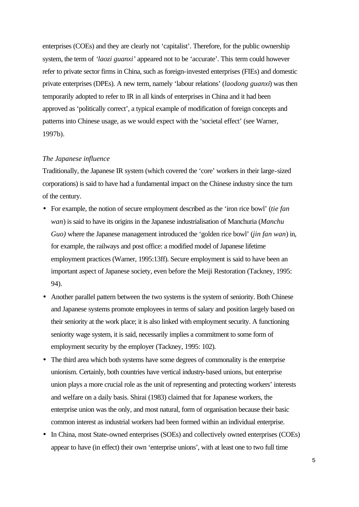enterprises (COEs) and they are clearly not 'capitalist'. Therefore, for the public ownership system, the term of *'laozi guanxi'* appeared not to be 'accurate'. This term could however refer to private sector firms in China, such as foreign-invested enterprises (FIEs) and domestic private enterprises (DPEs). A new term, namely 'labour relations' (*laodong guanxi*) was then temporarily adopted to refer to IR in all kinds of enterprises in China and it had been approved as 'politically correct', a typical example of modification of foreign concepts and patterns into Chinese usage, as we would expect with the 'societal effect' (see Warner, 1997b).

#### *The Japanese influence*

Traditionally, the Japanese IR system (which covered the 'core' workers in their large-sized corporations) is said to have had a fundamental impact on the Chinese industry since the turn of the century.

- For example, the notion of secure employment described as the 'iron rice bowl' (*tie fan wan*) is said to have its origins in the Japanese industrialisation of Manchuria (*Manchu Guo)* where the Japanese management introduced the 'golden rice bowl' (*jin fan wan*) in, for example, the railways and post office: a modified model of Japanese lifetime employment practices (Warner, 1995:13ff). Secure employment is said to have been an important aspect of Japanese society, even before the Meiji Restoration (Tackney, 1995: 94).
- Another parallel pattern between the two systems is the system of seniority. Both Chinese and Japanese systems promote employees in terms of salary and position largely based on their seniority at the work place; it is also linked with employment security. A functioning seniority wage system, it is said, necessarily implies a commitment to some form of employment security by the employer (Tackney, 1995: 102).
- The third area which both systems have some degrees of commonality is the enterprise unionism. Certainly, both countries have vertical industry-based unions, but enterprise union plays a more crucial role as the unit of representing and protecting workers' interests and welfare on a daily basis. Shirai (1983) claimed that for Japanese workers, the enterprise union was the only, and most natural, form of organisation because their basic common interest as industrial workers had been formed within an individual enterprise.
- In China, most State-owned enterprises (SOEs) and collectively owned enterprises (COEs) appear to have (in effect) their own 'enterprise unions', with at least one to two full time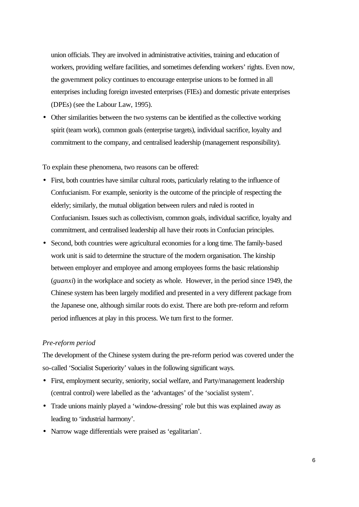union officials. They are involved in administrative activities, training and education of workers, providing welfare facilities, and sometimes defending workers' rights. Even now, the government policy continues to encourage enterprise unions to be formed in all enterprises including foreign invested enterprises (FIEs) and domestic private enterprises (DPEs) (see the Labour Law, 1995).

• Other similarities between the two systems can be identified as the collective working spirit (team work), common goals (enterprise targets), individual sacrifice, loyalty and commitment to the company, and centralised leadership (management responsibility).

To explain these phenomena, two reasons can be offered:

- First, both countries have similar cultural roots, particularly relating to the influence of Confucianism. For example, seniority is the outcome of the principle of respecting the elderly; similarly, the mutual obligation between rulers and ruled is rooted in Confucianism. Issues such as collectivism, common goals, individual sacrifice, loyalty and commitment, and centralised leadership all have their roots in Confucian principles.
- Second, both countries were agricultural economies for a long time. The family-based work unit is said to determine the structure of the modern organisation. The kinship between employer and employee and among employees forms the basic relationship (*guanxi*) in the workplace and society as whole. However, in the period since 1949, the Chinese system has been largely modified and presented in a very different package from the Japanese one, although similar roots do exist. There are both pre-reform and reform period influences at play in this process. We turn first to the former.

#### *Pre-reform period*

The development of the Chinese system during the pre-reform period was covered under the so-called 'Socialist Superiority' values in the following significant ways.

- First, employment security, seniority, social welfare, and Party/management leadership (central control) were labelled as the 'advantages' of the 'socialist system'.
- Trade unions mainly played a 'window-dressing' role but this was explained away as leading to 'industrial harmony'.
- Narrow wage differentials were praised as 'egalitarian'.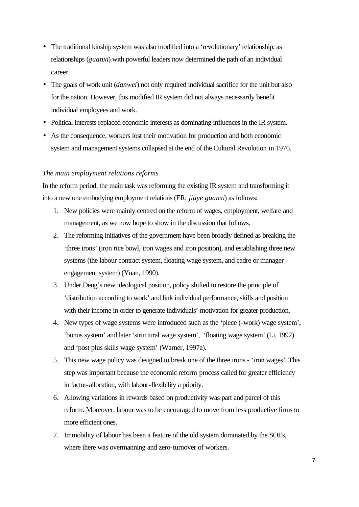- The traditional kinship system was also modified into a 'revolutionary' relationship, as relationships (*guanxi*) with powerful leaders now determined the path of an individual career.
- The goals of work unit (*danwei*) not only required individual sacrifice for the unit but also for the nation. However, this modified IR system did not always necessarily benefit individual employees and work.
- Political interests replaced economic interests as dominating influences in the IR system.
- As the consequence, workers lost their motivation for production and both economic system and management systems collapsed at the end of the Cultural Revolution in 1976.

#### *The main employment relations reforms*

In the reform period, the main task was reforming the existing IR system and transforming it into a new one embodying employment relations (ER: *jiuye guanxi*) as follows:

- 1. New policies were mainly centred on the reform of wages, employment, welfare and management, as we now hope to show in the discussion that follows.
- 2. The reforming initiatives of the government have been broadly defined as breaking the 'three irons' (iron rice bowl, iron wages and iron position), and establishing three new systems (the labour contract system, floating wage system, and cadre or manager engagement system) (Yuan, 1990).
- 3. Under Deng's new ideological position, policy shifted to restore the principle of 'distribution according to work' and link individual performance, skills and position with their income in order to generate individuals' motivation for greater production.
- 4. New types of wage systems were introduced such as the 'piece (-work) wage system', 'bonus system' and later 'structural wage system', 'floating wage system' (Li, 1992) and 'post plus skills wage system' (Warner, 1997a).
- 5. This new wage policy was designed to break one of the three irons 'iron wages'. This step was important because the economic reform process called for greater efficiency in factor-allocation, with labour-flexibility a priority.
- 6. Allowing variations in rewards based on productivity was part and parcel of this reform. Moreover, labour was to be encouraged to move from less productive firms to more efficient ones.
- 7. Immobility of labour has been a feature of the old system dominated by the SOEs, where there was overmanning and zero-turnover of workers.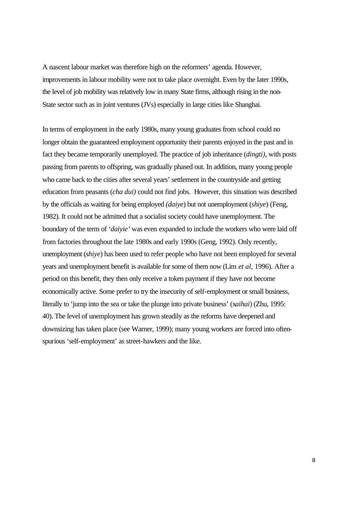A nascent labour market was therefore high on the reformers' agenda. However, improvements in labour mobility were not to take place overnight. Even by the later 1990s, the level of job mobility was relatively low in many State firms, although rising in the non-State sector such as in joint ventures (JVs) especially in large cities like Shanghai.

In terms of employment in the early 1980s, many young graduates from school could no longer obtain the guaranteed employment opportunity their parents enjoyed in the past and in fact they became temporarily unemployed. The practice of job inheritance (*dingti)*, with posts passing from parents to offspring, was gradually phased out. In addition, many young people who came back to the cities after several years' settlement in the countryside and getting education from peasants (*cha dui)* could not find jobs. However, this situation was described by the officials as waiting for being employed *(daiye*) but not unemployment (*shiye*) (Feng, 1982). It could not be admitted that a socialist society could have unemployment. The boundary of the term of '*daiyie'* was even expanded to include the workers who were laid off from factories throughout the late 1980s and early 1990s (Geng, 1992). Only recently, unemployment (*shiye*) has been used to refer people who have not been employed for several years and unemployment benefit is available for some of them now (Lim *et al,* 1996). After a period on this benefit, they then only receive a token payment if they have not become economically active. Some prefer to try the insecurity of self-employment or small business, literally to 'jump into the sea or take the plunge into private business' (x*aihai*) (Zhu, 1995: 40). The level of unemployment has grown steadily as the reforms have deepened and downsizing has taken place (see Warner, 1999); many young workers are forced into oftenspurious 'self-employment' as street-hawkers and the like.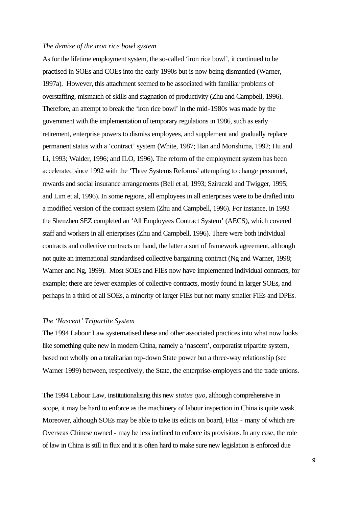#### *The demise of the iron rice bowl system*

As for the lifetime employment system, the so-called 'iron rice bowl', it continued to be practised in SOEs and COEs into the early 1990s but is now being dismantled (Warner, 1997a). However, this attachment seemed to be associated with familiar problems of overstaffing, mismatch of skills and stagnation of productivity (Zhu and Campbell, 1996). Therefore, an attempt to break the 'iron rice bowl' in the mid-1980s was made by the government with the implementation of temporary regulations in 1986, such as early retirement*,* enterprise powers to dismiss employees, and supplement and gradually replace permanent status with a 'contract' system (White, 1987; Han and Morishima, 1992; Hu and Li, 1993; Walder, 1996; and ILO, 1996). The reform of the employment system has been accelerated since 1992 with the 'Three Systems Reforms' attempting to change personnel, rewards and social insurance arrangements (Bell et al, 1993; Sziraczki and Twigger, 1995; and Lim et al, 1996). In some regions, all employees in all enterprises were to be drafted into a modified version of the contract system (Zhu and Campbell, 1996). For instance, in 1993 the Shenzhen SEZ completed an 'All Employees Contract System' (AECS), which covered staff and workers in all enterprises (Zhu and Campbell, 1996). There were both individual contracts and collective contracts on hand, the latter a sort of framework agreement, although not quite an international standardised collective bargaining contract (Ng and Warner, 1998; Warner and Ng, 1999). Most SOEs and FIEs now have implemented individual contracts, for example; there are fewer examples of collective contracts, mostly found in larger SOEs, and perhaps in a third of all SOEs, a minority of larger FIEs but not many smaller FIEs and DPEs.

#### *The 'Nascent' Tripartite System*

The 1994 Labour Law systematised these and other associated practices into what now looks like something quite new in modern China, namely a 'nascent', corporatist tripartite system, based not wholly on a totalitarian top-down State power but a three-way relationship (see Warner 1999) between, respectively, the State, the enterprise-employers and the trade unions.

The 1994 Labour Law, institutionalising this new *status quo*, although comprehensive in scope, it may be hard to enforce as the machinery of labour inspection in China is quite weak. Moreover, although SOEs may be able to take its edicts on board, FIEs - many of which are Overseas Chinese owned - may be less inclined to enforce its provisions. In any case, the role of law in China is still in flux and it is often hard to make sure new legislation is enforced due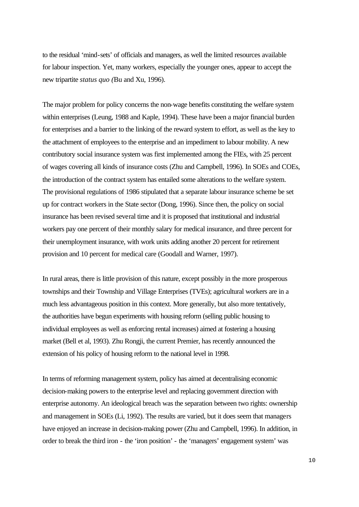to the residual 'mind-sets' of officials and managers, as well the limited resources available for labour inspection. Yet, many workers, especially the younger ones, appear to accept the new tripartite *status quo (*Bu and Xu, 1996).

The major problem for policy concerns the non-wage benefits constituting the welfare system within enterprises (Leung, 1988 and Kaple, 1994). These have been a major financial burden for enterprises and a barrier to the linking of the reward system to effort, as well as the key to the attachment of employees to the enterprise and an impediment to labour mobility. A new contributory social insurance system was first implemented among the FIEs, with 25 percent of wages covering all kinds of insurance costs (Zhu and Campbell, 1996). In SOEs and COEs, the introduction of the contract system has entailed some alterations to the welfare system. The provisional regulations of 1986 stipulated that a separate labour insurance scheme be set up for contract workers in the State sector (Dong, 1996). Since then, the policy on social insurance has been revised several time and it is proposed that institutional and industrial workers pay one percent of their monthly salary for medical insurance, and three percent for their unemployment insurance, with work units adding another 20 percent for retirement provision and 10 percent for medical care (Goodall and Warner, 1997).

In rural areas, there is little provision of this nature, except possibly in the more prosperous townships and their Township and Village Enterprises (TVEs); agricultural workers are in a much less advantageous position in this context. More generally, but also more tentatively, the authorities have begun experiments with housing reform (selling public housing to individual employees as well as enforcing rental increases) aimed at fostering a housing market (Bell et al, 1993). Zhu Rongji, the current Premier, has recently announced the extension of his policy of housing reform to the national level in 1998.

In terms of reforming management system, policy has aimed at decentralising economic decision-making powers to the enterprise level and replacing government direction with enterprise autonomy. An ideological breach was the separation between two rights: ownership and management in SOEs (Li, 1992). The results are varied, but it does seem that managers have enjoyed an increase in decision-making power (Zhu and Campbell, 1996). In addition, in order to break the third iron - the 'iron position' - the 'managers' engagement system' was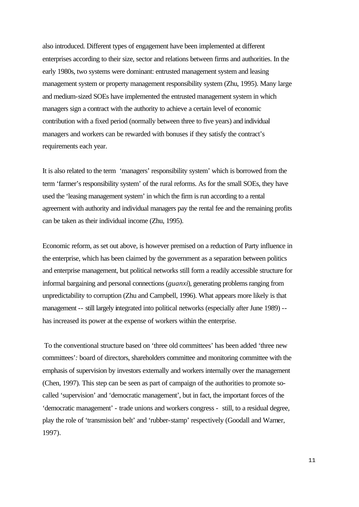also introduced. Different types of engagement have been implemented at different enterprises according to their size, sector and relations between firms and authorities. In the early 1980s, two systems were dominant: entrusted management system and leasing management system or property management responsibility system (Zhu, 1995). Many large and medium-sized SOEs have implemented the entrusted management system in which managers sign a contract with the authority to achieve a certain level of economic contribution with a fixed period (normally between three to five years) and individual managers and workers can be rewarded with bonuses if they satisfy the contract's requirements each year.

It is also related to the term 'managers' responsibility system' which is borrowed from the term 'farmer's responsibility system' of the rural reforms. As for the small SOEs, they have used the 'leasing management system' in which the firm is run according to a rental agreement with authority and individual managers pay the rental fee and the remaining profits can be taken as their individual income (Zhu, 1995).

Economic reform, as set out above, is however premised on a reduction of Party influence in the enterprise, which has been claimed by the government as a separation between politics and enterprise management, but political networks still form a readily accessible structure for informal bargaining and personal connections (*guanxi*), generating problems ranging from unpredictability to corruption (Zhu and Campbell, 1996). What appears more likely is that management -- still largely integrated into political networks (especially after June 1989) - has increased its power at the expense of workers within the enterprise.

 To the conventional structure based on 'three old committees' has been added 'three new committees'*:* board of directors, shareholders committee and monitoring committee with the emphasis of supervision by investors externally and workers internally over the management (Chen, 1997). This step can be seen as part of campaign of the authorities to promote socalled 'supervision' and 'democratic management', but in fact, the important forces of the 'democratic management' - trade unions and workers congress - still, to a residual degree, play the role of 'transmission belt' and 'rubber-stamp' respectively (Goodall and Warner, 1997).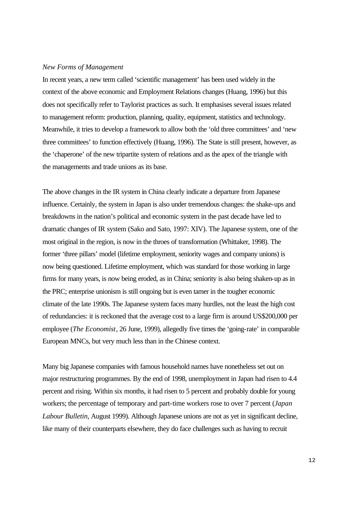#### *New Forms of Management*

In recent years, a new term called 'scientific management' has been used widely in the context of the above economic and Employment Relations changes (Huang, 1996) but this does not specifically refer to Taylorist practices as such. It emphasises several issues related to management reform: production, planning, quality, equipment, statistics and technology. Meanwhile, it tries to develop a framework to allow both the 'old three committees' and 'new three committees' to function effectively (Huang, 1996). The State is still present, however, as the 'chaperone' of the new tripartite system of relations and as the apex of the triangle with the managements and trade unions as its base.

The above changes in the IR system in China clearly indicate a departure from Japanese influence. Certainly, the system in Japan is also under tremendous changes: the shake-ups and breakdowns in the nation's political and economic system in the past decade have led to dramatic changes of IR system (Sako and Sato, 1997: XIV). The Japanese system, one of the most original in the region, is now in the throes of transformation (Whittaker, 1998). The former 'three pillars' model (lifetime employment, seniority wages and company unions) is now being questioned. Lifetime employment, which was standard for those working in large firms for many years, is now being eroded, as in China; seniority is also being shaken-up as in the PRC; enterprise unionism is still ongoing but is even tamer in the tougher economic climate of the late 1990s. The Japanese system faces many hurdles, not the least the high cost of redundancies: it is reckoned that the average cost to a large firm is around US\$200,000 per employee (*The Economist*, 26 June, 1999), allegedly five times the 'going-rate' in comparable European MNCs, but very much less than in the Chinese context.

Many big Japanese companies with famous household names have nonetheless set out on major restructuring programmes. By the end of 1998, unemployment in Japan had risen to 4.4 percent and rising. Within six months, it had risen to 5 percent and probably double for young workers; the percentage of temporary and part-time workers rose to over 7 percent (*Japan Labour Bulletin*, August 1999). Although Japanese unions are not as yet in significant decline, like many of their counterparts elsewhere, they do face challenges such as having to recruit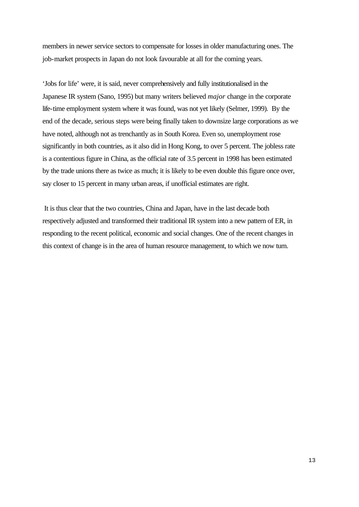members in newer service sectors to compensate for losses in older manufacturing ones. The job-market prospects in Japan do not look favourable at all for the coming years.

'Jobs for life' were, it is said, never comprehensively and fully institutionalised in the Japanese IR system (Sano, 1995) but many writers believed *major* change in the corporate life-time employment system where it was found, was not yet likely (Selmer, 1999). By the end of the decade, serious steps were being finally taken to downsize large corporations as we have noted, although not as trenchantly as in South Korea. Even so, unemployment rose significantly in both countries, as it also did in Hong Kong, to over 5 percent. The jobless rate is a contentious figure in China, as the official rate of 3.5 percent in 1998 has been estimated by the trade unions there as twice as much; it is likely to be even double this figure once over, say closer to 15 percent in many urban areas, if unofficial estimates are right.

 It is thus clear that the two countries, China and Japan, have in the last decade both respectively adjusted and transformed their traditional IR system into a new pattern of ER, in responding to the recent political, economic and social changes. One of the recent changes in this context of change is in the area of human resource management, to which we now turn.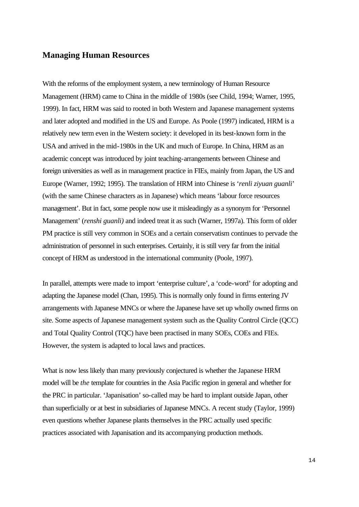#### **Managing Human Resources**

With the reforms of the employment system, a new terminology of Human Resource Management (HRM) came to China in the middle of 1980s (see Child, 1994; Warner, 1995, 1999). In fact, HRM was said to rooted in both Western and Japanese management systems and later adopted and modified in the US and Europe. As Poole (1997) indicated, HRM is a relatively new term even in the Western society: it developed in its best-known form in the USA and arrived in the mid-1980s in the UK and much of Europe. In China, HRM as an academic concept was introduced by joint teaching-arrangements between Chinese and foreign universities as well as in management practice in FIEs, mainly from Japan, the US and Europe (Warner, 1992; 1995). The translation of HRM into Chinese is '*renli ziyuan guanli*' (with the same Chinese characters as in Japanese) which means 'labour force resources management'. But in fact, some people now use it misleadingly as a synonym for 'Personnel Management' (*renshi guanli)* and indeed treat it as such (Warner, 1997a). This form of older PM practice is still very common in SOEs and a certain conservatism continues to pervade the administration of personnel in such enterprises. Certainly, it is still very far from the initial concept of HRM as understood in the international community (Poole, 1997).

In parallel, attempts were made to import 'enterprise culture', a 'code-word' for adopting and adapting the Japanese model (Chan, 1995). This is normally only found in firms entering JV arrangements with Japanese MNCs or where the Japanese have set up wholly owned firms on site. Some aspects of Japanese management system such as the Quality Control Circle (QCC) and Total Quality Control (TQC) have been practised in many SOEs, COEs and FIEs. However, the system is adapted to local laws and practices.

What is now less likely than many previously conjectured is whether the Japanese HRM model will be *the* template for countries in the Asia Pacific region in general and whether for the PRC in particular. 'Japanisation' so-called may be hard to implant outside Japan, other than superficially or at best in subsidiaries of Japanese MNCs. A recent study (Taylor, 1999) even questions whether Japanese plants themselves in the PRC actually used specific practices associated with Japanisation and its accompanying production methods.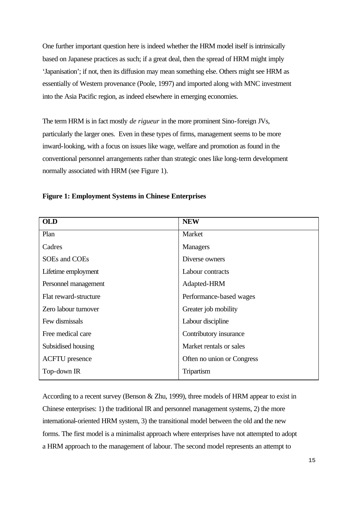One further important question here is indeed whether the HRM model itself is intrinsically based on Japanese practices as such; if a great deal, then the spread of HRM might imply 'Japanisation'; if not, then its diffusion may mean something else. Others might see HRM as essentially of Western provenance (Poole, 1997) and imported along with MNC investment into the Asia Pacific region, as indeed elsewhere in emerging economies.

The term HRM is in fact mostly *de rigueur* in the more prominent Sino-foreign JVs, particularly the larger ones. Even in these types of firms, management seems to be more inward-looking, with a focus on issues like wage, welfare and promotion as found in the conventional personnel arrangements rather than strategic ones like long-term development normally associated with HRM (see Figure 1).

| <b>OLD</b>            | <b>NEW</b>                 |
|-----------------------|----------------------------|
| Plan                  | Market                     |
| Cadres                | <b>Managers</b>            |
| SOEs and COEs         | Diverse owners             |
| Lifetime employment   | Labour contracts           |
| Personnel management  | Adapted-HRM                |
| Flat reward-structure | Performance-based wages    |
| Zero labour turnover  | Greater job mobility       |
| Few dismissals        | Labour discipline          |
| Free medical care     | Contributory insurance     |
| Subsidised housing    | Market rentals or sales    |
| <b>ACFTU</b> presence | Often no union or Congress |
| Top-down IR           | Tripartism                 |

#### **Figure 1: Employment Systems in Chinese Enterprises**

According to a recent survey (Benson & Zhu, 1999), three models of HRM appear to exist in Chinese enterprises: 1) the traditional IR and personnel management systems, 2) the more international-oriented HRM system, 3) the transitional model between the old and the new forms. The first model is a minimalist approach where enterprises have not attempted to adopt a HRM approach to the management of labour. The second model represents an attempt to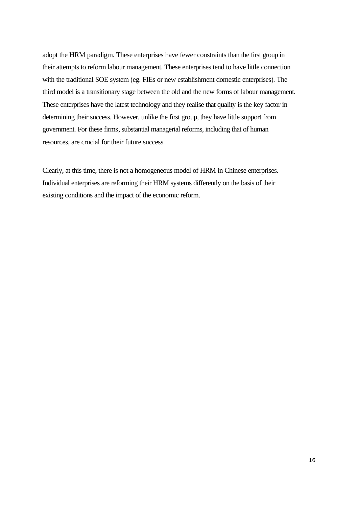adopt the HRM paradigm. These enterprises have fewer constraints than the first group in their attempts to reform labour management. These enterprises tend to have little connection with the traditional SOE system (eg. FIEs or new establishment domestic enterprises). The third model is a transitionary stage between the old and the new forms of labour management. These enterprises have the latest technology and they realise that quality is the key factor in determining their success. However, unlike the first group, they have little support from government. For these firms, substantial managerial reforms, including that of human resources, are crucial for their future success.

Clearly, at this time, there is not a homogeneous model of HRM in Chinese enterprises. Individual enterprises are reforming their HRM systems differently on the basis of their existing conditions and the impact of the economic reform.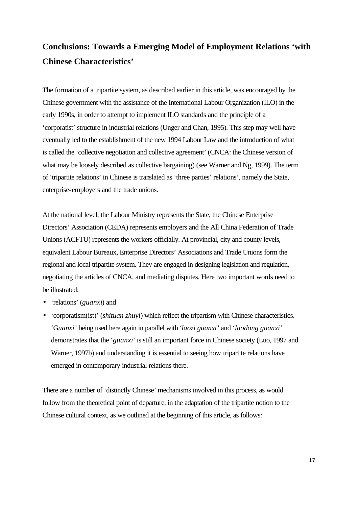## **Conclusions: Towards a Emerging Model of Employment Relations 'with Chinese Characteristics'**

The formation of a tripartite system, as described earlier in this article, was encouraged by the Chinese government with the assistance of the International Labour Organization (ILO) in the early 1990s, in order to attempt to implement ILO standards and the principle of a 'corporatist' structure in industrial relations (Unger and Chan, 1995). This step may well have eventually led to the establishment of the new 1994 Labour Law and the introduction of what is called the 'collective negotiation and collective agreement' (CNCA: the Chinese version of what may be loosely described as collective bargaining) (see Warner and Ng, 1999). The term of 'tripartite relations' in Chinese is translated as 'three parties' relations', namely the State, enterprise-employers and the trade unions.

At the national level, the Labour Ministry represents the State, the Chinese Enterprise Directors' Association (CEDA) represents employers and the All China Federation of Trade Unions (ACFTU) represents the workers officially. At provincial, city and county levels, equivalent Labour Bureaux, Enterprise Directors' Associations and Trade Unions form the regional and local tripartite system. They are engaged in designing legislation and regulation, negotiating the articles of CNCA, and mediating disputes. Here two important words need to be illustrated:

- 'relations' (*guanxi*) and
- 'corporatism(ist)' (*shituan zhuyi*) which reflect the tripartism with Chinese characteristics. 'G*uanxi'* being used here again in parallel with *'laozi guanxi'* and '*laodong guanxi'* demonstrates that the '*guanxi*' is still an important force in Chinese society (Luo, 1997 and Warner, 1997b) and understanding it is essential to seeing how tripartite relations have emerged in contemporary industrial relations there.

There are a number of 'distinctly Chinese' mechanisms involved in this process, as would follow from the theoretical point of departure, in the adaptation of the tripartite notion to the Chinese cultural context, as we outlined at the beginning of this article, as follows: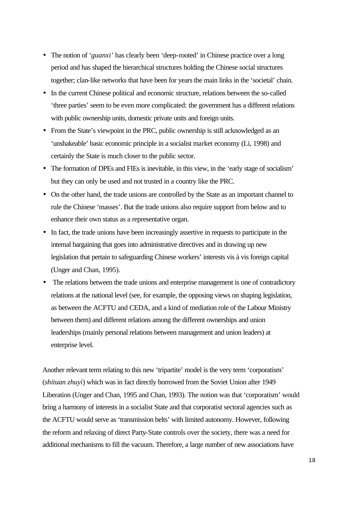- The notion of '*guanxi*' has clearly been 'deep-rooted' in Chinese practice over a long period and has shaped the hierarchical structures holding the Chinese social structures together; clan-like networks that have been for years the main links in the 'societal' chain.
- In the current Chinese political and economic structure, relations between the so-called 'three parties' seem to be even more complicated: the government has a different relations with public ownership units, domestic private units and foreign units.
- From the State's viewpoint in the PRC, public ownership is still acknowledged as an 'unshakeable' basic economic principle in a socialist market economy (Li, 1998) and certainly the State is much closer to the public sector.
- The formation of DPEs and FIEs is inevitable, in this view, in the 'early stage of socialism' but they can only be used and not trusted in a country like the PRC.
- On the other hand, the trade unions are controlled by the State as an important channel to rule the Chinese 'masses'. But the trade unions also require support from below and to enhance their own status as a representative organ.
- In fact, the trade unions have been increasingly assertive in requests to participate in the internal bargaining that goes into administrative directives and in drawing up new legislation that pertain to safeguarding Chinese workers' interests vis à vis foreign capital (Unger and Chan, 1995).
- The relations between the trade unions and enterprise management is one of contradictory relations at the national level (see, for example, the opposing views on shaping legislation, as between the ACFTU and CEDA, and a kind of mediation role of the Labour Ministry between them) and different relations among the different ownerships and union leaderships (mainly personal relations between management and union leaders) at enterprise level.

Another relevant term relating to this new 'tripartite' model is the very term 'corporatism' (*shituan zhuyi*) which was in fact directly borrowed from the Soviet Union after 1949 Liberation (Unger and Chan, 1995 and Chan, 1993). The notion was that 'corporatism' would bring a harmony of interests in a socialist State and that corporatist sectoral agencies such as the ACFTU would serve as 'transmission belts' with limited autonomy. However, following the reform and relaxing of direct Party-State controls over the society, there was a need for additional mechanisms to fill the vacuum. Therefore, a large number of new associations have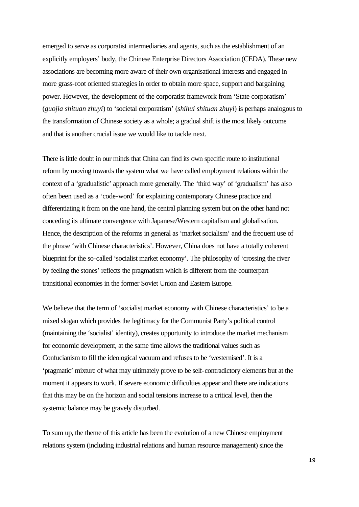emerged to serve as corporatist intermediaries and agents, such as the establishment of an explicitly employers' body, the Chinese Enterprise Directors Association (CEDA). These new associations are becoming more aware of their own organisational interests and engaged in more grass-root oriented strategies in order to obtain more space, support and bargaining power. However, the development of the corporatist framework from 'State corporatism' (*guojia shituan zhuyi*) to 'societal corporatism' (*shihui shituan zhuyi*) is perhaps analogous to the transformation of Chinese society as a whole; a gradual shift is the most likely outcome and that is another crucial issue we would like to tackle next.

There is little doubt in our minds that China can find its own specific route to institutional reform by moving towards the system what we have called employment relations within the context of a 'gradualistic' approach more generally. The 'third way' of 'gradualism' has also often been used as a 'code-word' for explaining contemporary Chinese practice and differentiating it from on the one hand, the central planning system but on the other hand not conceding its ultimate convergence with Japanese/Western capitalism and globalisation. Hence, the description of the reforms in general as 'market socialism' and the frequent use of the phrase 'with Chinese characteristics'. However, China does not have a totally coherent blueprint for the so-called 'socialist market economy'. The philosophy of 'crossing the river by feeling the stones' reflects the pragmatism which is different from the counterpart transitional economies in the former Soviet Union and Eastern Europe.

We believe that the term of 'socialist market economy with Chinese characteristics' to be a mixed slogan which provides the legitimacy for the Communist Party's political control (maintaining the 'socialist' identity), creates opportunity to introduce the market mechanism for economic development, at the same time allows the traditional values such as Confucianism to fill the ideological vacuum and refuses to be 'westernised'. It is a 'pragmatic' mixture of what may ultimately prove to be self-contradictory elements but at the moment it appears to work. If severe economic difficulties appear and there are indications that this may be on the horizon and social tensions increase to a critical level, then the systemic balance may be gravely disturbed.

To sum up, the theme of this article has been the evolution of a new Chinese employment relations system (including industrial relations and human resource management) since the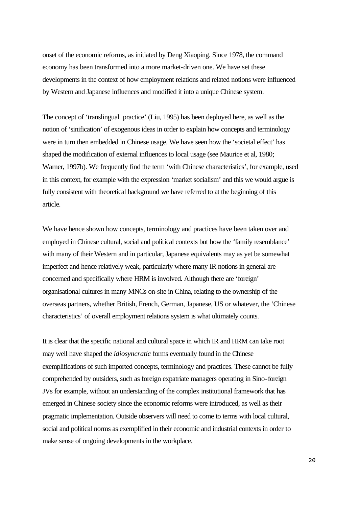onset of the economic reforms, as initiated by Deng Xiaoping. Since 1978, the command economy has been transformed into a more market-driven one. We have set these developments in the context of how employment relations and related notions were influenced by Western and Japanese influences and modified it into a unique Chinese system.

The concept of 'translingual practice' (Liu, 1995) has been deployed here, as well as the notion of 'sinification' of exogenous ideas in order to explain how concepts and terminology were in turn then embedded in Chinese usage. We have seen how the 'societal effect' has shaped the modification of external influences to local usage (see Maurice et al, 1980; Warner, 1997b). We frequently find the term 'with Chinese characteristics', for example, used in this context, for example with the expression 'market socialism' and this we would argue is fully consistent with theoretical background we have referred to at the beginning of this article.

We have hence shown how concepts, terminology and practices have been taken over and employed in Chinese cultural, social and political contexts but how the 'family resemblance' with many of their Western and in particular, Japanese equivalents may as yet be somewhat imperfect and hence relatively weak, particularly where many IR notions in general are concerned and specifically where HRM is involved. Although there are 'foreign' organisational cultures in many MNCs on-site in China, relating to the ownership of the overseas partners, whether British, French, German, Japanese, US or whatever, the 'Chinese characteristics' of overall employment relations system is what ultimately counts.

It is clear that the specific national and cultural space in which IR and HRM can take root may well have shaped the *idiosyncratic* forms eventually found in the Chinese exemplifications of such imported concepts, terminology and practices. These cannot be fully comprehended by outsiders, such as foreign expatriate managers operating in Sino-foreign JVs for example, without an understanding of the complex institutional framework that has emerged in Chinese society since the economic reforms were introduced, as well as their pragmatic implementation. Outside observers will need to come to terms with local cultural, social and political norms as exemplified in their economic and industrial contexts in order to make sense of ongoing developments in the workplace.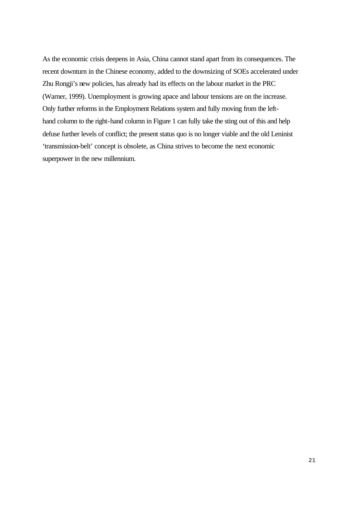As the economic crisis deepens in Asia, China cannot stand apart from its consequences. The recent downturn in the Chinese economy, added to the downsizing of SOEs accelerated under Zhu Rongji's new policies, has already had its effects on the labour market in the PRC (Warner, 1999). Unemployment is growing apace and labour tensions are on the increase. Only further reforms in the Employment Relations system and fully moving from the lefthand column to the right-hand column in Figure 1 can fully take the sting out of this and help defuse further levels of conflict; the present status quo is no longer viable and the old Leninist 'transmission-belt' concept is obsolete, as China strives to become the next economic superpower in the new millennium.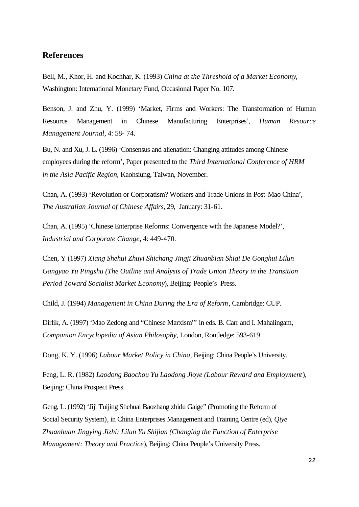#### **References**

Bell, M., Khor, H. and Kochhar, K. (1993) *China at the Threshold of a Market Economy*, Washington: International Monetary Fund, Occasional Paper No. 107.

Benson, J. and Zhu, Y. (1999) 'Market, Firms and Workers: The Transformation of Human Resource Management in Chinese Manufacturing Enterprises', *Human Resource Management Journal*, 4: 58- 74.

Bu, N. and Xu, J. L. (1996) 'Consensus and alienation: Changing attitudes among Chinese employees during the reform', Paper presented to the *Third International Conference of HRM in the Asia Pacific Region,* Kaohsiung, Taiwan, November.

Chan, A. (1993) 'Revolution or Corporatism? Workers and Trade Unions in Post-Mao China', *The Australian Journal of Chinese Affairs*, 29, January: 31-61.

Chan, A. (1995) 'Chinese Enterprise Reforms: Convergence with the Japanese Model?', *Industrial and Corporate Change*, 4: 449-470.

Chen, Y (1997) *Xiang Shehui Zhuyi Shichang Jingji Zhuanbian Shiqi De Gonghui Lilun Gangyao Yu Pingshu (The Outline and Analysis of Trade Union Theory in the Transition Period Toward Socialist Market Economy*), Beijing: People's Press.

Child, J. (1994) *Management in China During the Era of Reform*, Cambridge: CUP.

Dirlik, A. (1997) 'Mao Zedong and "Chinese Marxism"' in eds. B. Carr and I. Mahalingam, *Companion Encyclopedia of Asian Philosophy*, London, Routledge: 593-619.

Dong, K. Y. (1996) *Labour Market Policy in China*, Beijing: China People's University.

Feng, L. R. (1982) *Laodong Baochou Yu Laodong Jioye (Labour Reward and Employment*), Beijing: China Prospect Press.

Geng, L. (1992) 'Jiji Tuijing Shehuai Baozhang zhidu Gaige" (Promoting the Reform of Social Security System), in China Enterprises Management and Training Centre (ed), *Qiye Zhuanhuan Jingying Jizhi: Lilun Yu Shijian (Changing the Function of Enterprise Management: Theory and Practice*), Beijing: China People's University Press.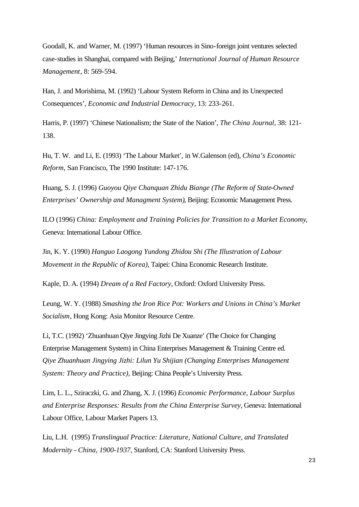Goodall, K. and Warner, M. (1997) 'Human resources in Sino-foreign joint ventures selected case-studies in Shanghai, compared with Beijing,' *International Journal of Human Resource Management*, 8: 569-594.

Han, J. and Morishima, M. (1992) 'Labour System Reform in China and its Unexpected Consequences', *Economic and Industrial Democracy*, 13: 233-261.

Harris, P. (1997) 'Chinese Nationalism; the State of the Nation', *The China Journal*, 38: 121- 138.

Hu, T. W. and Li, E. (1993) 'The Labour Market', in W.Galenson (ed), *China's Economic Reform,* San Francisco, The 1990 Institute: 147-176.

Huang, S. J. (1996) *Guoyou Qiye Chanquan Zhidu Biange (The Reform of State-Owned Enterprises' Ownership and Managment System)*, Beijing: Economic Management Press.

ILO (1996) *China: Employment and Training Policies for Transition to a Market Economy*, Geneva: International Labour Office.

Jin, K. Y. (1990) *Hanguo Laogong Yundong Zhidou Shi (The Illustration of Labour Movement in the Republic of Korea)*, Taipei: China Economic Research Institute.

Kaple, D. A. (1994) *Dream of a Red Factory*, Oxford: Oxford University Press.

Leung, W. Y. (1988) *Smashing the Iron Rice Pot: Workers and Unions in China's Market Socialism*, Hong Kong: Asia Monitor Resource Centre.

Li, T.C. (1992) 'Zhuanhuan Qiye Jingying Jizhi De Xuanze' (The Choice for Changing Enterprise Management System) in China Enterprises Management & Training Centre ed. *Qiye Zhuanhuan Jingying Jizhi: Lilun Yu Shijian (Changing Enterprises Management System: Theory and Practice),* Beijing: China People's University Press.

Lim, L. L., Sziraczki, G. and Zhang, X. J. (1996) *Economic Performance, Labour Surplus and Enterprise Responses: Results from the China Enterprise Survey*, Geneva: International Labour Office, Labour Market Papers 13.

Liu, L.H. (1995) *Translingual Practice: Literature, National Culture, and Translated Modernity - China, 1900-1937*, Stanford, CA: Stanford University Press.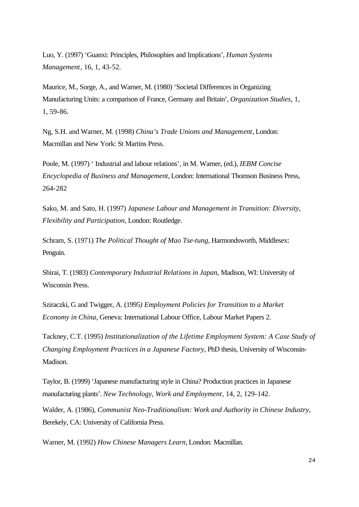Luo, Y. (1997) 'Guanxi: Principles, Philosophies and Implications', *Human Systems Management*, 16, 1, 43-52.

Maurice, M., Sorge, A., and Warner, M. (1980) 'Societal Differences in Organizing Manufacturing Units: a comparison of France, Germany and Britain', *Organization Studies*, 1, 1, 59-86.

Ng, S.H. and Warner, M. (1998) *China's Trade Unions and Management*, London: Macmillan and New York: St Martins Press.

Poole, M. (1997) ' Industrial and labour relations', in M. Warner, (ed.), *IEBM Concise Encyclopedia of Business and Management,* London: International Thomson Business Press, 264-282

Sako, M. and Sato, H. (1997) *Japanese Labour and Management in Transition: Diversity, Flexibility and Participation*, London: Routledge.

Schram, S. (1971) *The Political Thought of Mao Tse-tung*, Harmondsworth, Middlesex: Penguin.

Shirai, T. (1983) *Contemporary Industrial Relations in Japan,* Madison, WI: University of Wisconsin Press.

Sziraczki, G and Twigger, A. (1995*) Employment Policies for Transition to a Market Economy in China*, Geneva: International Labour Office, Labour Market Papers 2.

Tackney, C.T. (1995) *Institutionalization of the Lifetime Employment System: A Case Study of Changing Employment Practices in a Japanese Factory*, PhD thesis, University of Wisconsin-Madison.

Taylor, B. (1999) 'Japanese manufacturing style in China? Production practices in Japanese manufacturing plants'. *New Technology, Work and Employment*, 14, 2, 129-142.

Walder, A. (1986), *Communist Neo-Traditionalism: Work and Authority in Chinese Industry*, Berekely, CA: University of California Press.

Warner, M. (1992) *How Chinese Managers Learn*, London: Macmillan.